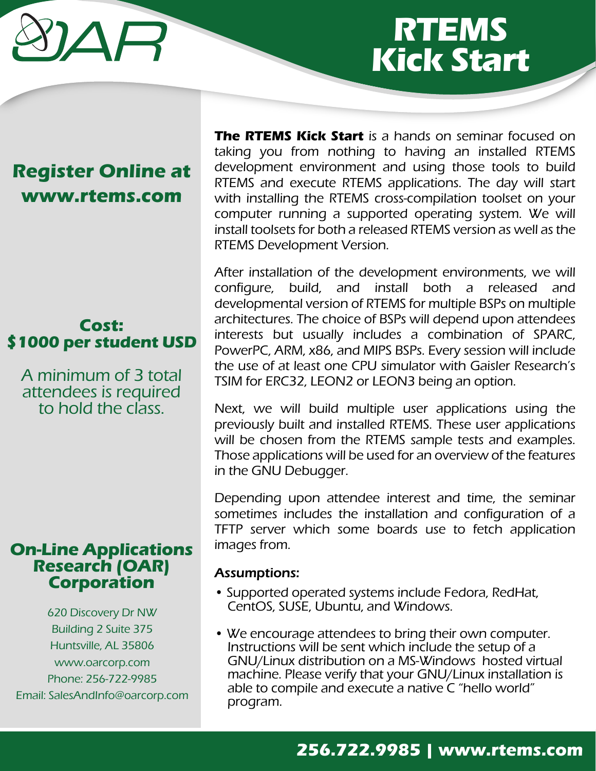# $\Delta \Box$

# **RTEMS Kick Start**

# **Register Online at www.rtems.com**

# **Cost: \$1000 per student USD**

A minimum of 3 total attendees is required to hold the class.

## **On-Line Applications Research (OAR) Corporation**

620 Discovery Dr NW Building 2 Suite 375 Huntsville, AL 35806 www.oarcorp.com Phone: 256-722-9985 Email: SalesAndInfo@oarcorp.com

**The RTEMS Kick Start** is a hands on seminar focused on taking you from nothing to having an installed RTEMS development environment and using those tools to build RTEMS and execute RTEMS applications. The day will start with installing the RTEMS cross-compilation toolset on your computer running a supported operating system. We will install toolsets for both a released RTEMS version as well as the RTEMS Development Version.

After installation of the development environments, we will configure, build, and install both a released and developmental version of RTEMS for multiple BSPs on multiple architectures. The choice of BSPs will depend upon attendees interests but usually includes a combination of SPARC, PowerPC, ARM, x86, and MIPS BSPs. Every session will include the use of at least one CPU simulator with Gaisler Research's TSIM for ERC32, LEON2 or LEON3 being an option.

Next, we will build multiple user applications using the previously built and installed RTEMS. These user applications will be chosen from the RTEMS sample tests and examples. Those applications will be used for an overview of the features in the GNU Debugger.

Depending upon attendee interest and time, the seminar sometimes includes the installation and configuration of a TFTP server which some boards use to fetch application images from.

#### Assumptions:

- Supported operated systems include Fedora, RedHat, CentOS, SUSE, Ubuntu, and Windows.
- We encourage attendees to bring their own computer. Instructions will be sent which include the setup of a GNU/Linux distribution on a MS-Windows hosted virtual machine. Please verify that your GNU/Linux installation is able to compile and execute a native C "hello world" program.